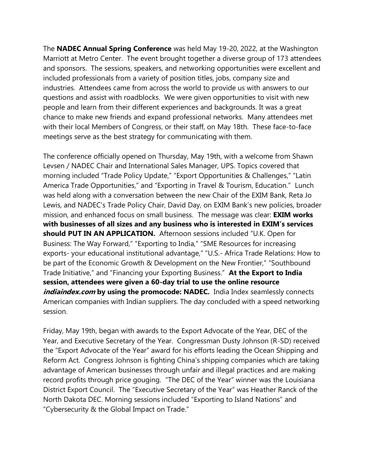The **NADEC Annual Spring Conference** was held May 19-20, 2022, at the Washington Marriott at Metro Center. The event brought together a diverse group of 173 attendees and sponsors. The sessions, speakers, and networking opportunities were excellent and included professionals from a variety of position titles, jobs, company size and industries. Attendees came from across the world to provide us with answers to our questions and assist with roadblocks. We were given opportunities to visit with new people and learn from their different experiences and backgrounds. It was a great chance to make new friends and expand professional networks. Many attendees met with their local Members of Congress, or their staff, on May 18th. These face-to-face meetings serve as the best strategy for communicating with them.

The conference officially opened on Thursday, May 19th, with a welcome from Shawn Levsen / NADEC Chair and International Sales Manager, UPS. Topics covered that morning included "Trade Policy Update," "Export Opportunities & Challenges," "Latin America Trade Opportunities," and "Exporting in Travel & Tourism, Education." Lunch was held along with a conversation between the new Chair of the EXIM Bank, [Reta Jo](https://www.linkedin.com/in/retajolewis/)  [Lewis](https://www.linkedin.com/in/retajolewis/), and NADEC's Trade Policy Chair, David Day, on EXIM Bank's new policies, broader mission, and enhanced focus on small business. The message was clear: **EXIM works with businesses of all sizes and any business who is interested in EXIM's services should PUT IN AN APPLICATION.** Afternoon sessions included "U.K. Open for Business: The Way Forward," "Exporting to India," "SME Resources for increasing exports- your educational institutional advantage," "U.S.- Africa Trade Relations: How to be part of the Economic Growth & Development on the New Frontier," "Southbound Trade Initiative," and "Financing your Exporting Business." **At the Export to India session, attendees were given a 60-day trial to use the online resource** *indiaindex.com* **by using the promocode: NADEC.** India Index seamlessly connects American companies with Indian suppliers. The day concluded with a speed networking session.

Friday, May 19th, began with awards to the Export Advocate of the Year, DEC of the Year, and Executive Secretary of the Year. Congressman Dusty Johnson (R-SD) received the "Export Advocate of the Year" award for his efforts leading the Ocean Shipping and Reform Act. Congress Johnson is fighting China's shipping companies which are taking advantage of American businesses through unfair and illegal practices and are making record profits through price gouging. "The DEC of the Year" winner was the [Louisiana](https://www.linkedin.com/in/ACoAAAPeingB7s7QXAdU1CKC02JqlkQkdJnSRv4)  [District Export Council.](https://www.linkedin.com/in/ACoAAAPeingB7s7QXAdU1CKC02JqlkQkdJnSRv4) The "Executive Secretary of the Year" was Heather Ranck of the North Dakota DEC. Morning sessions included "Exporting to Island Nations" and "Cybersecurity & the Global Impact on Trade."